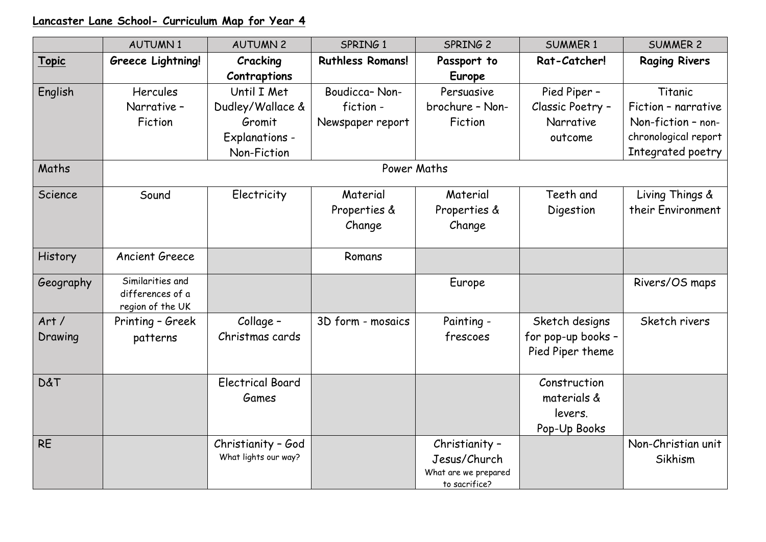## **Lancaster Lane School- Curriculum Map for Year 4**

|                | <b>AUTUMN1</b>                                           | <b>AUTUMN 2</b>         | SPRING 1                | SPRING <sub>2</sub>  | <b>SUMMER 1</b>    | <b>SUMMER 2</b>      |  |  |  |
|----------------|----------------------------------------------------------|-------------------------|-------------------------|----------------------|--------------------|----------------------|--|--|--|
| Topic          | Greece Lightning!                                        | Cracking                | <b>Ruthless Romans!</b> | Passport to          | Rat-Catcher!       | <b>Raging Rivers</b> |  |  |  |
|                |                                                          | Contraptions            |                         | <b>Europe</b>        |                    |                      |  |  |  |
| English        | Hercules                                                 | Until I Met             | Boudicca-Non-           | Persuasive           | Pied Piper -       | Titanic              |  |  |  |
|                | Narrative -                                              | Dudley/Wallace &        | fiction-                | brochure - Non-      | Classic Poetry -   | Fiction - narrative  |  |  |  |
|                | Fiction                                                  | Gromit                  | Newspaper report        | Fiction              | Narrative          | Non-fiction - non-   |  |  |  |
|                |                                                          | <b>Explanations -</b>   |                         |                      | outcome            | chronological report |  |  |  |
|                |                                                          | Non-Fiction             |                         |                      |                    | Integrated poetry    |  |  |  |
| Maths          | Power Maths                                              |                         |                         |                      |                    |                      |  |  |  |
| Science        | Sound                                                    | Electricity             | Material                | Material             | Teeth and          | Living Things &      |  |  |  |
|                |                                                          |                         | Properties &            | Properties &         | Digestion          | their Environment    |  |  |  |
|                |                                                          |                         | Change                  | Change               |                    |                      |  |  |  |
|                |                                                          |                         |                         |                      |                    |                      |  |  |  |
| History        | <b>Ancient Greece</b>                                    |                         | Romans                  |                      |                    |                      |  |  |  |
| Geography      | Similarities and<br>differences of a<br>region of the UK |                         |                         | Europe               |                    | Rivers/OS maps       |  |  |  |
| Art/           | Printing - Greek                                         | Collage -               | 3D form - mosaics       | Painting -           | Sketch designs     | Sketch rivers        |  |  |  |
| Drawing        | patterns                                                 | Christmas cards         |                         | frescoes             | for pop-up books - |                      |  |  |  |
|                |                                                          |                         |                         |                      | Pied Piper theme   |                      |  |  |  |
|                |                                                          |                         |                         |                      |                    |                      |  |  |  |
| <b>D&amp;T</b> |                                                          | <b>Electrical Board</b> |                         |                      | Construction       |                      |  |  |  |
|                |                                                          | Games                   |                         |                      | materials &        |                      |  |  |  |
|                |                                                          |                         |                         |                      | levers.            |                      |  |  |  |
|                |                                                          |                         |                         |                      | Pop-Up Books       |                      |  |  |  |
| <b>RE</b>      |                                                          | Christianity - God      |                         | Christianity -       |                    | Non-Christian unit   |  |  |  |
|                |                                                          | What lights our way?    |                         | Jesus/Church         |                    | Sikhism              |  |  |  |
|                |                                                          |                         |                         | What are we prepared |                    |                      |  |  |  |
|                |                                                          |                         |                         | to sacrifice?        |                    |                      |  |  |  |